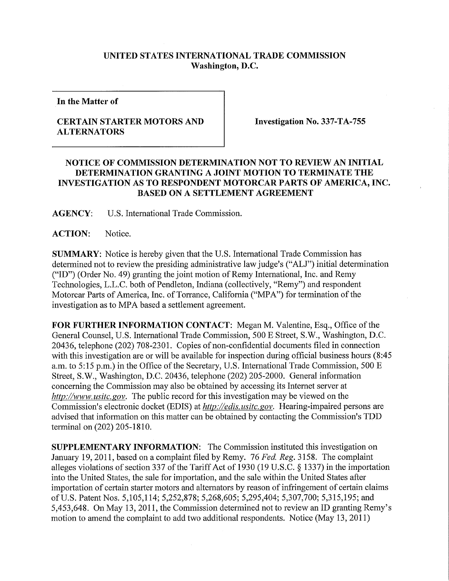## **UNITED STATES INTERNATIONAL TRADE COMMISSION Washington, D.C.**

**In the Matter of** 

## **CERTAIN STARTER MOTORS AND ALTERNATORS**

**Investigation No. 337-TA-755** 

## **NOTICE OF COMMISSION DETERMINATION NOT TO REVIEW AN INITIAL DETERMINATION GRANTING A JOINT MOTION TO TERMINATE THE INVESTIGATION AS TO RESPONDENT MOTORCAR PARTS OF AMERICA, INC. BASED ON A SETTLEMENT AGREEMENT**

**AGENCY:** U.S. International Trade Commission.

ACTION: Notice.

**SUMMARY:** Notice is hereby given that the U.S. International Trade Commission has determined not to review the presiding administrative law judge's ("ALJ") initial determination ("ID") (Order No. 49) granting the joint motion of Remy International, Inc. and Remy Technologies, L.L.C. both of Pendleton, Indiana (collectively, "Remy") and respondent Motorcar Parts of America, Inc. of Torrance, California ("MPA") for termination of the investigation as to MPA based a settlement agreement.

**FOR FURTHER INFORMATION CONTACT:** Megan M. Valentine, Esq., Office of the General Counsel, U.S. International Trade Commission, 500 E Street, S.W., Washington, D.C. 20436, telephone (202) 708-2301. Copies of non-confidential documents filed in connection with this investigation are or will be available for inspection during official business hours (8:45 a.m. to 5:15 p.m.) in the Office of the Secretary, U.S. International Trade Commission, 500 E Street, S.W., Washington, D.C. 20436, telephone (202) 205-2000. General infonnation concerning the Commission may also be obtained by accessing its Internet server at *http://www. usitc. gov.* The public record for this investigation may be viewed on the Commission's electronic docket (EDIS) at *http://edis. usitc.gov.* Hearing-impaired persons are advised that information on this matter can be obtained by contacting the Commission's TDD terminal on (202) 205-1810.

**SUPPLEMENTARY INFORMATION:** The Commission instituted this investigation on January 19, 2011, based on a complaint filed by Remy. 76 *Fed, Reg.* 3158. The complaint alleges violations of section 337 of the Tariff Act of 1930 (19 U.S.C. § 1337) in the importation into the United States, the sale for importation, and the sale within the United States after importation of certain starter motors and alternators by reason of infringement of certain claims of U.S. Patent Nos. 5,105,114; 5,252,878; 5,268,605; 5,295,404; 5,307,700; 5,315,195; and 5,453,648. On May 13, 2011, the Commission determined not to review an ID granting Remy's motion to amend the complaint to add two additional respondents. Notice (May 13, 2011)